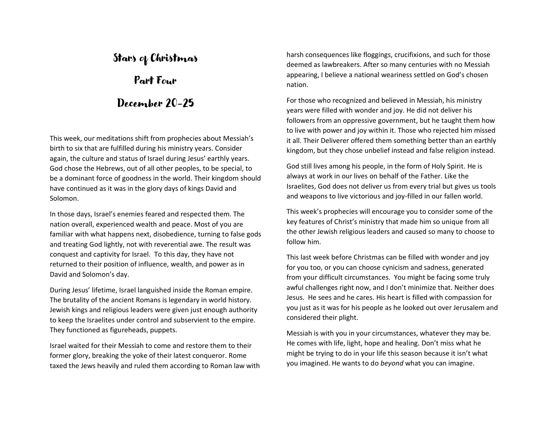# Stars of Christmas

Part Four

### December 20-25

This week, our meditations shift from prophecies about Messiah's birth to six that are fulfilled during his ministry years. Consider again, the culture and status of Israel during Jesus' earthly years. God chose the Hebrews, out of all other peoples, to be special, to be a dominant force of goodness in the world. Their kingdom should have continued as it was in the glory days of kings David and Solomon.

In those days, Israel's enemies feared and respected them. The nation overall, experienced wealth and peace. Most of you are familiar with what happens next, disobedience, turning to false gods and treating God lightly, not with reverential awe. The result was conquest and captivity for Israel. To this day, they have not returned to their position of influence, wealth, and power as in David and Solomon's day.

During Jesus' lifetime, Israel languished inside the Roman empire. The brutality of the ancient Romans is legendary in world history. Jewish kings and religious leaders were given just enough authority to keep the Israelites under control and subservient to the empire. They functioned as figureheads, puppets.

Israel waited for their Messiah to come and restore them to their former glory, breaking the yoke of their latest conqueror. Rome taxed the Jews heavily and ruled them according to Roman law with harsh consequences like floggings, crucifixions, and such for those deemed as lawbreakers. After so many centuries with no Messiah appearing, I believe a national weariness settled on God's chosen nation.

For those who recognized and believed in Messiah, his ministry years were filled with wonder and joy. He did not deliver his followers from an oppressive government, but he taught them how to live with power and joy within it. Those who rejected him missed it all. Their Deliverer offered them something better than an earthly kingdom, but they chose unbelief instead and false religion instead.

God still lives among his people, in the form of Holy Spirit. He is always at work in our lives on behalf of the Father. Like the Israelites, God does not deliver us from every trial but gives us tools and weapons to live victorious and joy-filled in our fallen world.

This week's prophecies will encourage you to consider some of the key features of Christ's ministry that made him so unique from all the other Jewish religious leaders and caused so many to choose to follow him.

This last week before Christmas can be filled with wonder and joy for you too, or you can choose cynicism and sadness, generated from your difficult circumstances. You might be facing some truly awful challenges right now, and I don't minimize that. Neither does Jesus. He sees and he cares. His heart is filled with compassion for you just as it was for his people as he looked out over Jerusalem and considered their plight.

Messiah is with you in your circumstances, whatever they may be. He comes with life, light, hope and healing. Don't miss what he might be trying to do in your life this season because it isn't what you imagined. He wants to do *beyond* what you can imagine.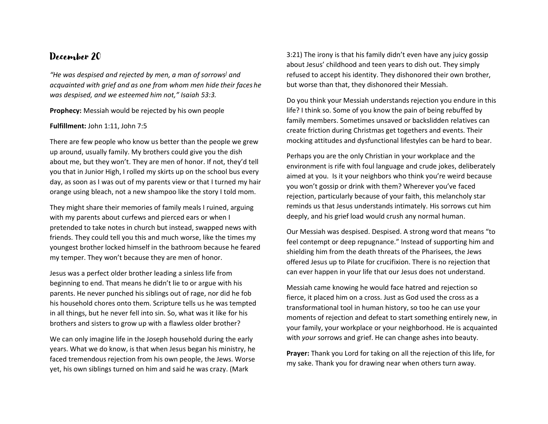*"He was despised and rejected by men, a man of sorrows] and acquainted with grief and as one from whom men hide their faces he was despised, and we esteemed him not," Isaiah 53:3.*

**Prophecy:** Messiah would be rejected by his own people

#### **Fulfillment:** John 1:11, John 7:5

There are few people who know us better than the people we grew up around, usually family. My brothers could give you the dish about me, but they won't. They are men of honor. If not, they'd tell you that in Junior High, I rolled my skirts up on the school bus every day, as soon as I was out of my parents view or that I turned my hair orange using bleach, not a new shampoo like the story I told mom.

They might share their memories of family meals I ruined, arguing with my parents about curfews and pierced ears or when I pretended to take notes in church but instead, swapped news with friends. They could tell you this and much worse, like the times my youngest brother locked himself in the bathroom because he feared my temper. They won't because they are men of honor.

Jesus was a perfect older brother leading a sinless life from beginning to end. That means he didn't lie to or argue with his parents. He never punched his siblings out of rage, nor did he fob his household chores onto them. Scripture tells us he was tempted in all things, but he never fell into sin. So, what was it like for his brothers and sisters to grow up with a flawless older brother?

We can only imagine life in the Joseph household during the early years. What we do know, is that when Jesus began his ministry, he faced tremendous rejection from his own people, the Jews. Worse yet, his own siblings turned on him and said he was crazy. (Mark

3:21) The irony is that his family didn't even have any juicy gossip about Jesus' childhood and teen years to dish out. They simply refused to accept his identity. They dishonored their own brother, but worse than that, they dishonored their Messiah.

Do you think your Messiah understands rejection you endure in this life? I think so. Some of you know the pain of being rebuffed by family members. Sometimes unsaved or backslidden relatives can create friction during Christmas get togethers and events. Their mocking attitudes and dysfunctional lifestyles can be hard to bear.

Perhaps you are the only Christian in your workplace and the environment is rife with foul language and crude jokes, deliberately aimed at you. Is it your neighbors who think you're weird because you won't gossip or drink with them? Wherever you've faced rejection, particularly because of your faith, this melancholy star reminds us that Jesus understands intimately. His sorrows cut him deeply, and his grief load would crush any normal human.

Our Messiah was despised. Despised. A strong word that means "to feel contempt or deep repugnance." Instead of supporting him and shielding him from the death threats of the Pharisees, the Jews offered Jesus up to Pilate for crucifixion. There is no rejection that can ever happen in your life that our Jesus does not understand.

Messiah came knowing he would face hatred and rejection so fierce, it placed him on a cross. Just as God used the cross as a transformational tool in human history, so too he can use your moments of rejection and defeat to start something entirely new, in your family, your workplace or your neighborhood. He is acquainted with *your* sorrows and grief. He can change ashes into beauty.

**Prayer:** Thank you Lord for taking on all the rejection of this life, for my sake. Thank you for drawing near when others turn away.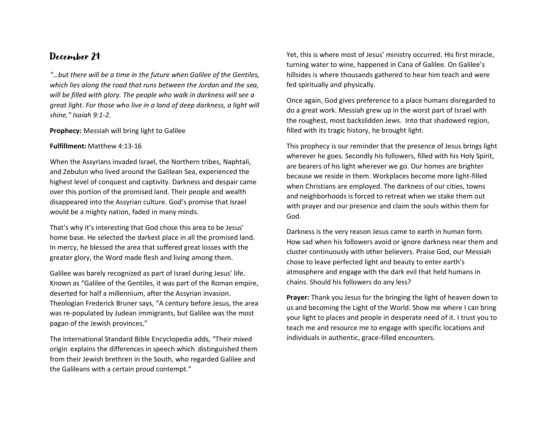*"…but there will be a time in the future when Galilee of the Gentiles, which lies along the road that runs between the Jordan and the sea, will be filled with glory. The people who walk in darkness will see a great light. For those who live in a land of deep darkness, a light will shine," Isaiah 9:1-2.*

#### **Prophecy:** Messiah will bring light to Galilee

#### **Fulfillment:** Matthew 4:13-16

When the Assyrians invaded Israel, the Northern tribes, Naphtali, and Zebulun who lived around the Galilean Sea, experienced the highest level of conquest and captivity. Darkness and despair came over this portion of the promised land. Their people and wealth disappeared into the Assyrian culture. God's promise that Israel would be a mighty nation, faded in many minds.

That's why it's interesting that God chose this area to be Jesus' home base. He selected the darkest place in all the promised land. In mercy, he blessed the area that suffered great losses with the greater glory, the Word made flesh and living among them.

Galilee was barely recognized as part of Israel during Jesus' life. Known as "Galilee of the Gentiles, it was part of the Roman empire, deserted for half a millennium, after the Assyrian invasion. Theologian Frederick Bruner says, "A century before Jesus, the area was re-populated by Judean immigrants, but Galilee was the most pagan of the Jewish provinces,"

The [International Standard Bible Encyclopedia](https://www.internationalstandardbible.com/G/galilee.html) adds, "Their mixed origin explains the differences in speech which distinguished them from their Jewish brethren in the South, who regarded Galilee and the Galileans with a certain proud contempt."

Yet, this is where most of Jesus' ministry occurred. His first miracle, turning water to wine, happened in Cana of Galilee. On Galilee's hillsides is where thousands gathered to hear him teach and were fed spiritually and physically.

Once again, God gives preference to a place humans disregarded to do a great work. Messiah grew up in the worst part of Israel with the roughest, most backslidden Jews. Into that shadowed region, filled with its tragic history, he brought light.

This prophecy is our reminder that the presence of Jesus brings light wherever he goes. Secondly his followers, filled with his Holy Spirit, are bearers of his light wherever we go. Our homes are brighter because we reside in them. Workplaces become more light-filled when Christians are employed. The darkness of our cities, towns and neighborhoods is forced to retreat when we stake them out with prayer and our presence and claim the souls within them for God.

Darkness is the very reason Jesus came to earth in human form. How sad when his followers avoid or ignore darkness near them and cluster continuously with other believers. Praise God, our Messiah chose to leave perfected light and beauty to enter earth's atmosphere and engage with the dark evil that held humans in chains. Should his followers do any less?

**Prayer:** Thank you Jesus for the bringing the light of heaven down to us and becoming the Light of the World. Show me where I can bring your light to places and people in desperate need of it. I trust you to teach me and resource me to engage with specific locations and individuals in authentic, grace-filled encounters.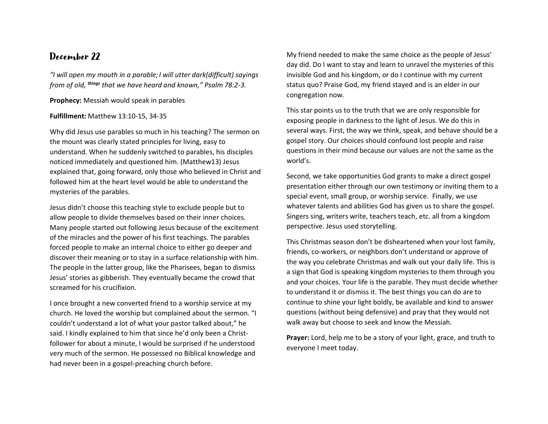*"I will open my mouth in a parable;I will utter dark(difficult) sayings from of old, things that we have heard and known," Psalm 78:2-3.*

**Prophecy:** Messiah would speak in parables

### **Fulfillment:** Matthew 13:10-15, 34-35

Why did Jesus use parables so much in his teaching? The sermon on the mount was clearly stated principles for living, easy to understand. When he suddenly switched to parables, his disciples noticed immediately and questioned him. (Matthew13) Jesus explained that, going forward, only those who believed in Christ and followed him at the heart level would be able to understand the mysteries of the parables.

Jesus didn't choose this teaching style to exclude people but to allow people to divide themselves based on their inner choices. Many people started out following Jesus because of the excitement of the miracles and the power of his first teachings. The parables forced people to make an internal choice to either go deeper and discover their meaning or to stay in a surface relationship with him. The people in the latter group, like the Pharisees, began to dismiss Jesus' stories as gibberish. They eventually became the crowd that screamed for his crucifixion.

I once brought a new converted friend to a worship service at my church. He loved the worship but complained about the sermon. "I couldn't understand a lot of what your pastor talked about," he said. I kindly explained to him that since he'd only been a Christfollower for about a minute, I would be surprised if he understood very much of the sermon. He possessed no Biblical knowledge and had never been in a gospel-preaching church before.

My friend needed to make the same choice as the people of Jesus' day did. Do I want to stay and learn to unravel the mysteries of this invisible God and his kingdom, or do I continue with my current status quo? Praise God, my friend stayed and is an elder in our congregation now.

This star points us to the truth that we are only responsible for exposing people in darkness to the light of Jesus. We do this in several ways. First, the way we think, speak, and behave should be a gospel story. Our choices should confound lost people and raise questions in their mind because our values are not the same as the world's.

Second, we take opportunities God grants to make a direct gospel presentation either through our own testimony or inviting them to a special event, small group, or worship service. Finally, we use whatever talents and abilities God has given us to share the gospel. Singers sing, writers write, teachers teach, etc. all from a kingdom perspective. Jesus used storytelling.

This Christmas season don't be disheartened when your lost family, friends, co-workers, or neighbors don't understand or approve of the way you celebrate Christmas and walk out your daily life. This is a sign that God is speaking kingdom mysteries to them through you and your choices. Your life is the parable. They must decide whether to understand it or dismiss it. The best things you can do are to continue to shine your light boldly, be available and kind to answer questions (without being defensive) and pray that they would not walk away but choose to seek and know the Messiah.

**Prayer:** Lord, help me to be a story of your light, grace, and truth to everyone I meet today.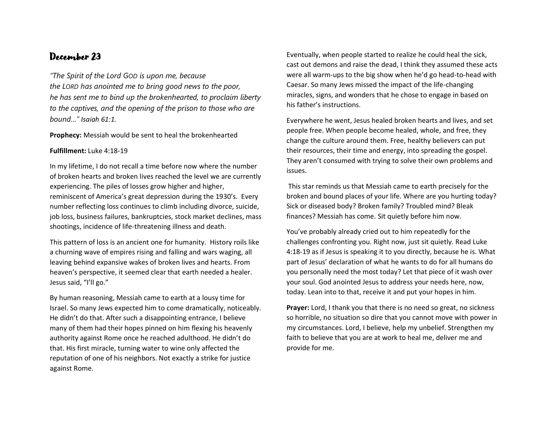*"The Spirit of the Lord GOD is upon me, because the LORD has anointed me to bring good news to the poor, he has sent me to bind up the brokenhearted, to proclaim liberty to the captives, and the opening of the prison to those who are bound…" Isaiah 61:1.* 

#### **Prophecy:** Messiah would be sent to heal the brokenhearted

### **Fulfillment:** Luke 4:18-19

In my lifetime, I do not recall a time before now where the number of broken hearts and broken lives reached the level we are currently experiencing. The piles of losses grow higher and higher, reminiscent of America's great depression during the 1930's. Every number reflecting loss continues to climb including divorce, suicide, job loss, business failures, bankruptcies, stock market declines, mass shootings, incidence of life-threatening illness and death.

This pattern of loss is an ancient one for humanity. History roils like a churning wave of empires rising and falling and wars waging, all leaving behind expansive wakes of broken lives and hearts. From heaven's perspective, it seemed clear that earth needed a healer. Jesus said, "I'll go."

By human reasoning, Messiah came to earth at a lousy time for Israel. So many Jews expected him to come dramatically, noticeably. He didn't do that. After such a disappointing entrance, I believe many of them had their hopes pinned on him flexing his heavenly authority against Rome once he reached adulthood. He didn't do that. His first miracle, turning water to wine only affected the reputation of one of his neighbors. Not exactly a strike for justice against Rome.

Eventually, when people started to realize he could heal the sick, cast out demons and raise the dead, I think they assumed these acts were all warm-ups to the big show when he'd go head-to-head with Caesar. So many Jews missed the impact of the life-changing miracles, signs, and wonders that he chose to engage in based on his father's instructions.

Everywhere he went, Jesus healed broken hearts and lives, and set people free. When people become healed, whole, and free, they change the culture around them. Free, healthy believers can put their resources, their time and energy, into spreading the gospel. They aren't consumed with trying to solve their own problems and issues.

This star reminds us that Messiah came to earth precisely for the broken and bound places of your life. Where are you hurting today? Sick or diseased body? Broken family? Troubled mind? Bleak finances? Messiah has come. Sit quietly before him now.

You've probably already cried out to him repeatedly for the challenges confronting you. Right now, just sit quietly. Read Luke 4:18-19 as if Jesus is speaking it to you directly, because he is. What part of Jesus' declaration of what he wants to do for all humans do you personally need the most today? Let that piece of it wash over your soul. God anointed Jesus to address your needs here, now, today. Lean into to that, receive it and put your hopes in him.

**Prayer:** Lord, I thank you that there is no need so great, no sickness so horrible, no situation so dire that you cannot move with power in my circumstances. Lord, I believe, help my unbelief. Strengthen my faith to believe that you are at work to heal me, deliver me and provide for me.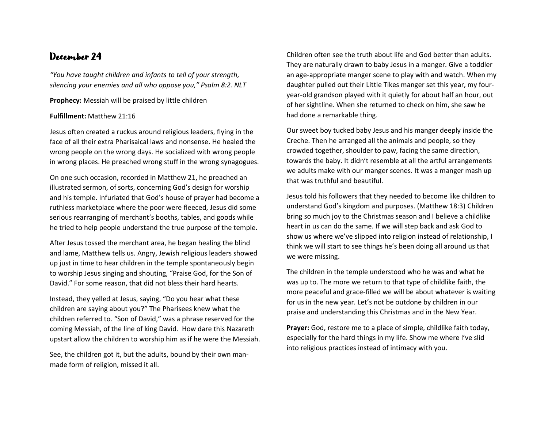*"You have taught children and infants to tell of your strength, silencing your enemies and all who oppose you," Psalm 8:2. NLT*

**Prophecy:** Messiah will be praised by little children

### **Fulfillment:** Matthew 21:16

Jesus often created a ruckus around religious leaders, flying in the face of all their extra Pharisaical laws and nonsense. He healed the wrong people on the wrong days. He socialized with wrong people in wrong places. He preached wrong stuff in the wrong synagogues.

On one such occasion, recorded in Matthew 21, he preached an illustrated sermon, of sorts, concerning God's design for worship and his temple. Infuriated that God's house of prayer had become a ruthless marketplace where the poor were fleeced, Jesus did some serious rearranging of merchant's booths, tables, and goods while he tried to help people understand the true purpose of the temple.

After Jesus tossed the merchant area, he began healing the blind and lame, Matthew tells us. Angry, Jewish religious leaders showed up just in time to hear children in the temple spontaneously begin to worship Jesus singing and shouting, "Praise God, for the Son of David." For some reason, that did not bless their hard hearts.

Instead, they yelled at Jesus, saying, "Do you hear what these children are saying about you?" The Pharisees knew what the children referred to. "Son of David," was a phrase reserved for the coming Messiah, of the line of king David. How dare this Nazareth upstart allow the children to worship him as if he were the Messiah.

See, the children got it, but the adults, bound by their own manmade form of religion, missed it all.

Children often see the truth about life and God better than adults. They are naturally drawn to baby Jesus in a manger. Give a toddler an age-appropriate manger scene to play with and watch. When my daughter pulled out their Little Tikes manger set this year, my fouryear-old grandson played with it quietly for about half an hour, out of her sightline. When she returned to check on him, she saw he had done a remarkable thing.

Our sweet boy tucked baby Jesus and his manger deeply inside the Creche. Then he arranged all the animals and people, so they crowded together, shoulder to paw, facing the same direction, towards the baby. It didn't resemble at all the artful arrangements we adults make with our manger scenes. It was a manger mash up that was truthful and beautiful.

Jesus told his followers that they needed to become like children to understand God's kingdom and purposes. (Matthew 18:3) Children bring so much joy to the Christmas season and I believe a childlike heart in us can do the same. If we will step back and ask God to show us where we've slipped into religion instead of relationship, I think we will start to see things he's been doing all around us that we were missing.

The children in the temple understood who he was and what he was up to. The more we return to that type of childlike faith, the more peaceful and grace-filled we will be about whatever is waiting for us in the new year. Let's not be outdone by children in our praise and understanding this Christmas and in the New Year.

**Prayer:** God, restore me to a place of simple, childlike faith today, especially for the hard things in my life. Show me where I've slid into religious practices instead of intimacy with you.